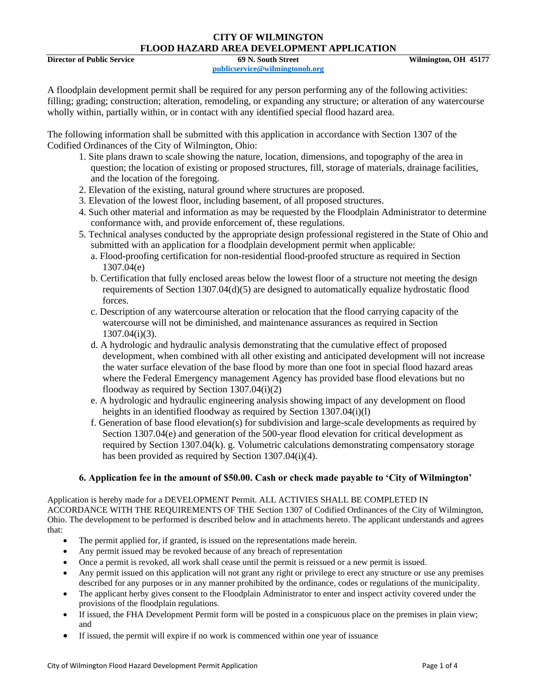#### **CITY OF WILMINGTON FLOOD HAZARD AREA DEVELOPMENT APPLICATION**

**Director of Public Service 69 N. South Street Wilmington, OH 45177**

**[publicservice@wilmingtonoh.org](mailto:publicservice@wilmingtonoh.org)**

A floodplain development permit shall be required for any person performing any of the following activities: filling; grading; construction; alteration, remodeling, or expanding any structure; or alteration of any watercourse wholly within, partially within, or in contact with any identified special flood hazard area.

The following information shall be submitted with this application in accordance with Section 1307 of the Codified Ordinances of the City of Wilmington, Ohio:

- 1. Site plans drawn to scale showing the nature, location, dimensions, and topography of the area in question; the location of existing or proposed structures, fill, storage of materials, drainage facilities, and the location of the foregoing.
- 2. Elevation of the existing, natural ground where structures are proposed.
- 3. Elevation of the lowest floor, including basement, of all proposed structures.
- 4. Such other material and information as may be requested by the Floodplain Administrator to determine conformance with, and provide enforcement of, these regulations.
- 5. Technical analyses conducted by the appropriate design professional registered in the State of Ohio and submitted with an application for a floodplain development permit when applicable:
	- a. Flood-proofing certification for non-residential flood-proofed structure as required in Section 1307.04(e)
	- b. Certification that fully enclosed areas below the lowest floor of a structure not meeting the design requirements of Section 1307.04(d)(5) are designed to automatically equalize hydrostatic flood forces.
	- c. Description of any watercourse alteration or relocation that the flood carrying capacity of the watercourse will not be diminished, and maintenance assurances as required in Section 1307.04(i)(3).
	- d. A hydrologic and hydraulic analysis demonstrating that the cumulative effect of proposed development, when combined with all other existing and anticipated development will not increase the water surface elevation of the base flood by more than one foot in special flood hazard areas where the Federal Emergency management Agency has provided base flood elevations but no floodway as required by Section 1307.04(i)(2)
	- e. A hydrologic and hydraulic engineering analysis showing impact of any development on flood heights in an identified floodway as required by Section 1307.04(i)(l)
	- f. Generation of base flood elevation(s) for subdivision and large-scale developments as required by Section 1307.04(e) and generation of the 500-year flood elevation for critical development as required by Section 1307.04(k). g. Volumetric calculations demonstrating compensatory storage has been provided as required by Section 1307.04(i)(4).

## **6. Application fee in the amount of \$50.00. Cash or check made payable to 'City of Wilmington'**

Application is hereby made for a DEVELOPMENT Permit. ALL ACTIVIES SHALL BE COMPLETED IN ACCORDANCE WITH THE REQUIREMENTS OF THE Section 1307 of Codified Ordinances of the City of Wilmington, Ohio. The development to be performed is described below and in attachments hereto. The applicant understands and agrees that:

- The permit applied for, if granted, is issued on the representations made herein.
- Any permit issued may be revoked because of any breach of representation
- Once a permit is revoked, all work shall cease until the permit is reissued or a new permit is issued.
- Any permit issued on this application will not grant any right or privilege to erect any structure or use any premises described for any purposes or in any manner prohibited by the ordinance, codes or regulations of the municipality.
- The applicant herby gives consent to the Floodplain Administrator to enter and inspect activity covered under the provisions of the floodplain regulations.
- If issued, the FHA Development Permit form will be posted in a conspicuous place on the premises in plain view; and
- If issued, the permit will expire if no work is commenced within one year of issuance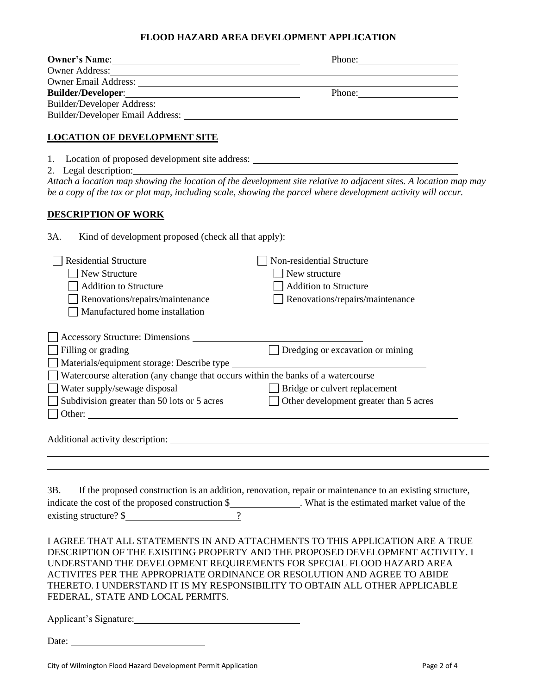#### **FLOOD HAZARD AREA DEVELOPMENT APPLICATION**

| <b>Owner's Name:</b>        | Phone: |
|-----------------------------|--------|
| <b>Owner Address:</b>       |        |
| <b>Owner Email Address:</b> |        |
|                             | Phone: |
| Builder/Developer Address:  |        |
|                             |        |
|                             |        |

## **LOCATION OF DEVELOPMENT SITE**

- 1. Location of proposed development site address: \_\_\_\_\_\_\_\_\_\_\_\_\_\_\_\_\_\_\_\_\_\_\_\_\_\_\_\_\_\_\_
- 2. Legal description:

*Attach a location map showing the location of the development site relative to adjacent sites. A location map may be a copy of the tax or plat map, including scale, showing the parcel where development activity will occur.* 

## **DESCRIPTION OF WORK**

3A. Kind of development proposed (check all that apply):

| <b>Residential Structure</b>                                                     | Non-residential Structure                                                                                                                                                                                               |
|----------------------------------------------------------------------------------|-------------------------------------------------------------------------------------------------------------------------------------------------------------------------------------------------------------------------|
| $\Box$ New Structure                                                             | New structure                                                                                                                                                                                                           |
| <b>Addition to Structure</b>                                                     | <b>Addition to Structure</b>                                                                                                                                                                                            |
| Renovations/repairs/maintenance                                                  | Renovations/repairs/maintenance                                                                                                                                                                                         |
| Manufactured home installation                                                   |                                                                                                                                                                                                                         |
|                                                                                  |                                                                                                                                                                                                                         |
| Accessory Structure: Dimensions                                                  |                                                                                                                                                                                                                         |
| Filling or grading                                                               | Dredging or excavation or mining                                                                                                                                                                                        |
|                                                                                  |                                                                                                                                                                                                                         |
| Watercourse alteration (any change that occurs within the banks of a watercourse |                                                                                                                                                                                                                         |
| Water supply/sewage disposal                                                     | $\Box$ Bridge or culvert replacement                                                                                                                                                                                    |
| Subdivision greater than 50 lots or 5 acres                                      | Other development greater than 5 acres                                                                                                                                                                                  |
|                                                                                  |                                                                                                                                                                                                                         |
|                                                                                  |                                                                                                                                                                                                                         |
| 3B.<br>existing structure? $\frac{1}{2}$                                         | If the proposed construction is an addition, renovation, repair or maintenance to an existing structure,<br>indicate the cost of the proposed construction \$_______________. What is the estimated market value of the |
|                                                                                  | I AGREE THAT ALL STATEMENTS IN AND ATTACHMENTS TO THIS APPLICATION ARE A TRUE<br>DESCRIPTION OF THE EXISITING PROPERTY AND THE PROPOSED DEVELOPMENT ACTIVITY. I                                                         |
| UNDERSTAND THE DEVELOPMENT REQUIREMENTS FOR SPECIAL FLOOD HAZARD AREA            |                                                                                                                                                                                                                         |
| ACTIVITES PER THE APPROPRIATE ORDINANCE OR RESOLUTION AND AGREE TO ABIDE         |                                                                                                                                                                                                                         |
| FEDERAL, STATE AND LOCAL PERMITS.                                                | THERETO. I UNDERSTAND IT IS MY RESPONSIBILITY TO OBTAIN ALL OTHER APPLICABLE                                                                                                                                            |
|                                                                                  |                                                                                                                                                                                                                         |
| Applicant's Signature:                                                           |                                                                                                                                                                                                                         |
| Date:                                                                            |                                                                                                                                                                                                                         |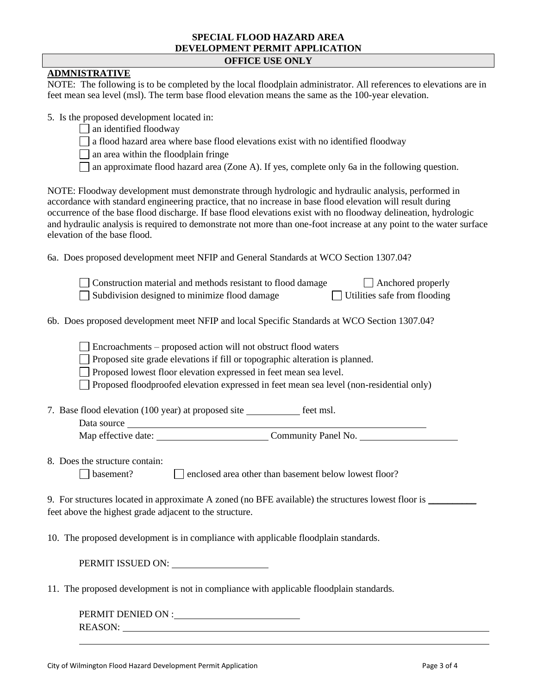#### **SPECIAL FLOOD HAZARD AREA DEVELOPMENT PERMIT APPLICATION OFFICE USE ONLY**

# **ADMNISTRATIVE**

NOTE: The following is to be completed by the local floodplain administrator. All references to elevations are in feet mean sea level (msl). The term base flood elevation means the same as the 100-year elevation.

5. Is the proposed development located in:

- $\Box$  an identified floodway
- $\Box$  a flood hazard area where base flood elevations exist with no identified floodway
- $\Box$  an area within the floodplain fringe
- □ an approximate flood hazard area (Zone A). If yes, complete only 6a in the following question.

NOTE: Floodway development must demonstrate through hydrologic and hydraulic analysis, performed in accordance with standard engineering practice, that no increase in base flood elevation will result during occurrence of the base flood discharge. If base flood elevations exist with no floodway delineation, hydrologic and hydraulic analysis is required to demonstrate not more than one-foot increase at any point to the water surface elevation of the base flood.

6a. Does proposed development meet NFIP and General Standards at WCO Section 1307.04?

| Construction material and methods resistant to flood damage | $\Box$ Anchored properly            |
|-------------------------------------------------------------|-------------------------------------|
| Subdivision designed to minimize flood damage               | $\Box$ Utilities safe from flooding |

6b. Does proposed development meet NFIP and local Specific Standards at WCO Section 1307.04?

Encroachments – proposed action will not obstruct flood waters

Proposed site grade elevations if fill or topographic alteration is planned.

Proposed lowest floor elevation expressed in feet mean sea level.

Proposed floodproofed elevation expressed in feet mean sea level (non-residential only)

7. Base flood elevation (100 year) at proposed site feet msl.

| Data source         |                     |
|---------------------|---------------------|
| Map effective date: | Community Panel No. |

8. Does the structure contain: basement? enclosed area other than basement below lowest floor?

9. For structures located in approximate A zoned (no BFE available) the structures lowest floor is \_\_\_\_\_\_\_\_\_\_\_ feet above the highest grade adjacent to the structure.

10. The proposed development is in compliance with applicable floodplain standards.

PERMIT ISSUED ON:  $\qquad \qquad$ 

11. The proposed development is not in compliance with applicable floodplain standards.

PERMIT DENIED ON : REASON: